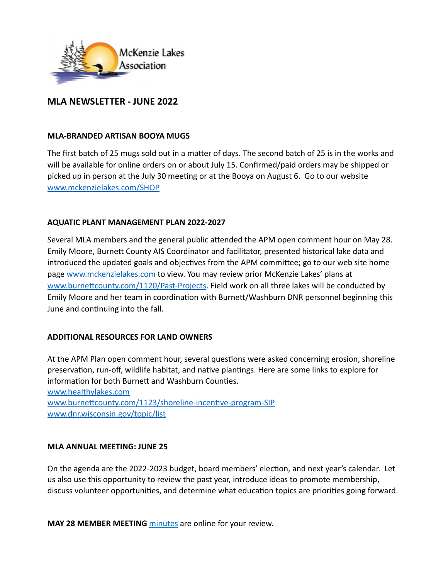

# **MLA NEWSLETTER - JUNE 2022**

### **MLA-BRANDED ARTISAN BOOYA MUGS**

The first batch of 25 mugs sold out in a matter of days. The second batch of 25 is in the works and will be available for online orders on or about July 15. Confirmed/paid orders may be shipped or picked up in person at the July 30 meeting or at the Booya on August 6. Go to our website [www.mckenzielakes.com/SHOP](http://www.mckenzielakes.com/SHOP)

### **AQUATIC PLANT MANAGEMENT PLAN 2022-2027**

Several MLA members and the general public attended the APM open comment hour on May 28. Emily Moore, Burnett County AIS Coordinator and facilitator, presented historical lake data and introduced the updated goals and objectives from the APM committee; go to our web site home page [www.mckenzielakes.com](http://www.mckenzielakes.com) to view. You may review prior McKenzie Lakes' plans at [www.burnettcounty.com/1120/Past-Projects](http://www.burnettcounty.com/1120/Past-Projects). Field work on all three lakes will be conducted by Emily Moore and her team in coordination with Burnett/Washburn DNR personnel beginning this June and continuing into the fall.

### **ADDITIONAL RESOURCES FOR LAND OWNERS**

At the APM Plan open comment hour, several questions were asked concerning erosion, shoreline preservation, run-off, wildlife habitat, and native plantings. Here are some links to explore for information for both Burnett and Washburn Counties.

[www.healthylakes.com](http://www.healthylakes.com) [www.burnettcounty.com/1123/shoreline-incentive-program-SIP](http://www.burnettcounty.com/1123/shoreline-incentive-program-SIP) [www.dnr.wisconsin.gov/topic/list](http://www.dnr.wisconsin.gov/topic/list)

#### **MLA ANNUAL MEETING: JUNE 25**

On the agenda are the 2022-2023 budget, board members' election, and next year's calendar. Let us also use this opportunity to review the past year, introduce ideas to promote membership, discuss volunteer opportunities, and determine what education topics are priorities going forward.

**MAY 28 MEMBER MEETING minutes are online for your review.**